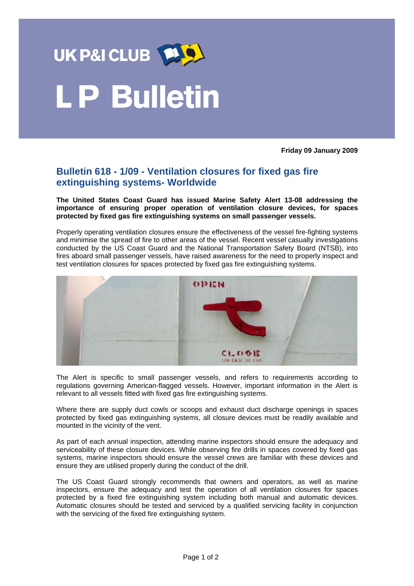

## **LP Bulletin**

**Friday 09 January 2009** 

## **Bulletin 618 - 1/09 - Ventilation closures for fixed gas fire extinguishing systems- Worldwide**

**The United States Coast Guard has issued Marine Safety Alert 13-08 addressing the importance of ensuring proper operation of ventilation closure devices, for spaces protected by fixed gas fire extinguishing systems on small passenger vessels.** 

Properly operating ventilation closures ensure the effectiveness of the vessel fire-fighting systems and minimise the spread of fire to other areas of the vessel. Recent vessel casualty investigations conducted by the US Coast Guard and the National Transportation Safety Board (NTSB), into fires aboard small passenger vessels, have raised awareness for the need to properly inspect and test ventilation closures for spaces protected by fixed gas fire extinguishing systems.



The Alert is specific to small passenger vessels, and refers to requirements according to regulations governing American-flagged vessels. However, important information in the Alert is relevant to all vessels fitted with fixed gas fire extinguishing systems.

Where there are supply duct cowls or scoops and exhaust duct discharge openings in spaces protected by fixed gas extinguishing systems, all closure devices must be readily available and mounted in the vicinity of the vent.

As part of each annual inspection, attending marine inspectors should ensure the adequacy and serviceability of these closure devices. While observing fire drills in spaces covered by fixed gas systems, marine inspectors should ensure the vessel crews are familiar with these devices and ensure they are utilised properly during the conduct of the drill.

The US Coast Guard strongly recommends that owners and operators, as well as marine inspectors, ensure the adequacy and test the operation of all ventilation closures for spaces protected by a fixed fire extinguishing system including both manual and automatic devices. Automatic closures should be tested and serviced by a qualified servicing facility in conjunction with the servicing of the fixed fire extinguishing system.